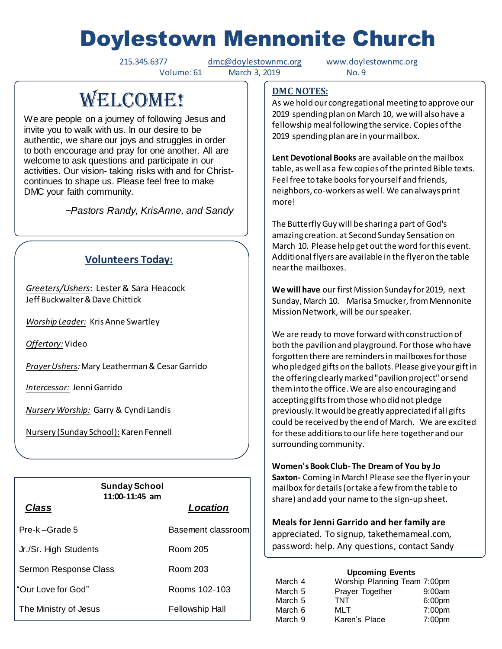# Doylestown Mennonite Church

215.345.6377 [dmc@doylestownmc.org](mailto:dmc@doylestownmc.org) www.doylestownmc.org Volume: 61 March 3, 2019 No. 9

## WELCOME!

We are people on a journey of following Jesus and invite you to walk with us. In our desire to be authentic, we share our joys and struggles in order to both encourage and pray for one another. All are welcome to ask questions and participate in our activities. Our vision- taking risks with and for Christcontinues to shape us. Please feel free to make DMC your faith community.

 *~Pastors Randy, KrisAnne, and Sandy*

## **Volunteers Today:**

*Greeters/Ushers*: Lester & Sara Heacock Jeff Buckwalter & Dave Chittick

*Worship Leader:* Kris Anne Swartley

*Offertory:*Video

*Prayer Ushers:* Mary Leatherman& Cesar Garrido

*Intercessor:* Jenni Garrido

*Nursery Worship:* Garry & Cyndi Landis

Nursery (Sunday School): Karen Fennell

| <b>Sunday School</b><br>$11:00-11:45$ am |                        |  |
|------------------------------------------|------------------------|--|
| <b>Class</b>                             | Location               |  |
| Pre-k-Grade 5                            | Basement classroom     |  |
| Jr./Sr. High Students                    | Room 205               |  |
| Sermon Response Class                    | Room 203               |  |
| "Our Love for God"                       | Rooms 102-103          |  |
| The Ministry of Jesus                    | <b>Fellowship Hall</b> |  |

### **DMC NOTES:**

As we hold our congregational meeting to approve our 2019 spending plan on March 10, we will also have a fellowship meal following the service. Copies of the 2019 spending plan are in your mailbox.

**Lent Devotional Books** are available on the mailbox table, as well as a few copies of the printed Bible texts. Feel free to take books for yourself and friends, neighbors, co-workers as well. We can always print more!

The Butterfly Guy will be sharing a part of God's amazing creation. at Second Sunday Sensation on March 10. Please help get out the word for this event. Additional flyers are available in the flyer on the table near the mailboxes.

**We will have** our first Mission Sunday for 2019, next Sunday, March 10. Marisa Smucker, from Mennonite Mission Network, will be our speaker.

We are ready to move forward with construction of both the pavilion and playground. For those who have forgotten there are reminders in mailboxes for those who pledged gifts on the ballots. Please give your gift in the offering clearly marked "pavilion project" or send them into the office. We are also encouraging and accepting gifts from those who did not pledge previously. It would be greatly appreciated if all gifts could be received by the end of March. We are excited for these additions to our life here together and our surrounding community.

**Women's Book Club- The Dream of You by Jo** 

**Saxton-** Coming in March! Please see the flyer in your mailbox for details (or take a few from the table to share) and add your name to the sign-up sheet.

**Meals for Jenni Garrido and her family are**  appreciated. To signup, takethemameal.com, password: help. Any questions, contact Sandy

Landes.

#### **Upcoming Events**

| March 4 | Worship Planning Team 7:00pm |                    |
|---------|------------------------------|--------------------|
| March 5 | Prayer Together              | 9:00am             |
| March 5 | <b>TNT</b>                   | 6:00 <sub>pm</sub> |
| March 6 | MLT                          | 7:00 <sub>pm</sub> |
| March 9 | Karen's Place                | 7:00pm             |